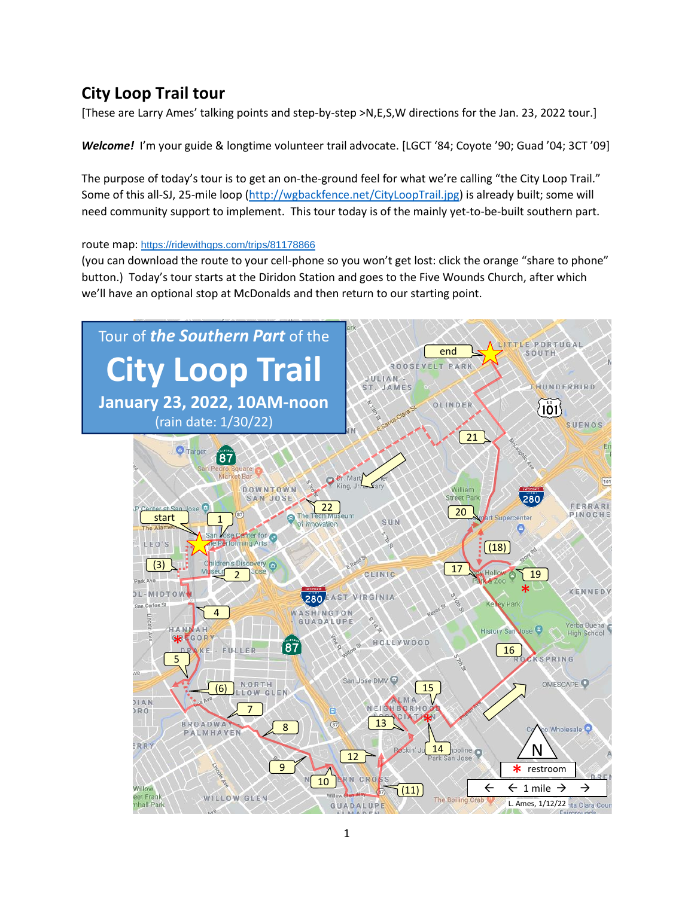# **City Loop Trail tour**

[These are Larry Ames' talking points and step-by-step >N,E,S,W directions for the Jan. 23, 2022 tour.]

*Welcome!* I'm your guide & longtime volunteer trail advocate. [LGCT '84; Coyote '90; Guad '04; 3CT '09]

The purpose of today's tour is to get an on-the-ground feel for what we're calling "the City Loop Trail." Some of this all-SJ, 25-mile loop [\(http://wgbackfence.net/CityLoopTrail.jpg\)](http://wgbackfence.net/CityLoopTrail.jpg) is already built; some will need community support to implement. This tour today is of the mainly yet-to-be-built southern part.

#### route map: <https://ridewithgps.com/trips/81178866>

(you can download the route to your cell-phone so you won't get lost: click the orange "share to phone" button.) Today's tour starts at the Diridon Station and goes to the Five Wounds Church, after which we'll have an optional stop at McDonalds and then return to our starting point.

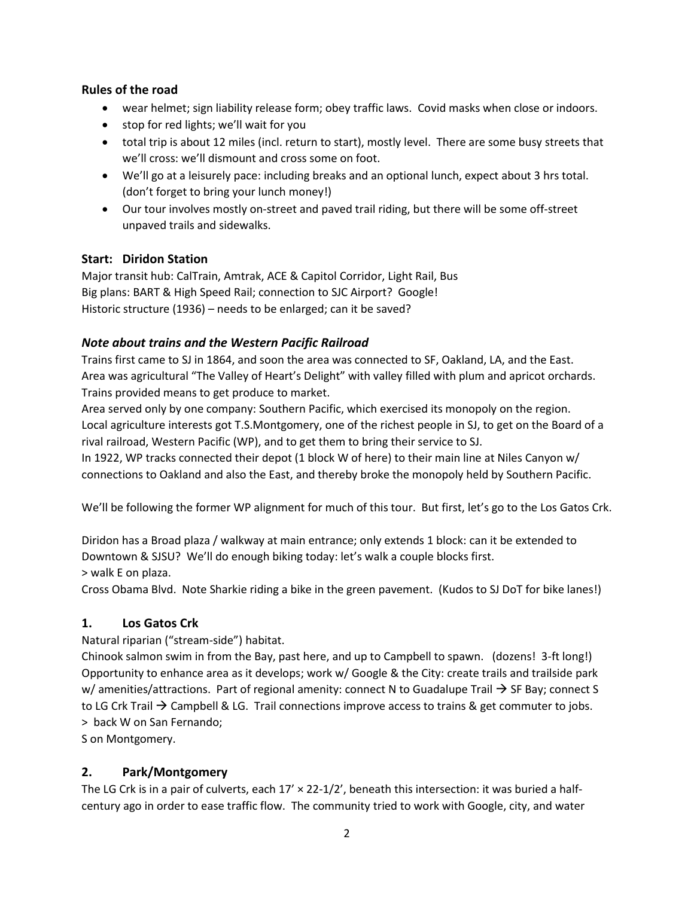# **Rules of the road**

- wear helmet; sign liability release form; obey traffic laws. Covid masks when close or indoors.
- stop for red lights; we'll wait for you
- total trip is about 12 miles (incl. return to start), mostly level. There are some busy streets that we'll cross: we'll dismount and cross some on foot.
- We'll go at a leisurely pace: including breaks and an optional lunch, expect about 3 hrs total. (don't forget to bring your lunch money!)
- Our tour involves mostly on-street and paved trail riding, but there will be some off-street unpaved trails and sidewalks.

# **Start: Diridon Station**

Major transit hub: CalTrain, Amtrak, ACE & Capitol Corridor, Light Rail, Bus Big plans: BART & High Speed Rail; connection to SJC Airport? Google! Historic structure (1936) – needs to be enlarged; can it be saved?

# *Note about trains and the Western Pacific Railroad*

Trains first came to SJ in 1864, and soon the area was connected to SF, Oakland, LA, and the East. Area was agricultural "The Valley of Heart's Delight" with valley filled with plum and apricot orchards. Trains provided means to get produce to market.

Area served only by one company: Southern Pacific, which exercised its monopoly on the region. Local agriculture interests got T.S.Montgomery, one of the richest people in SJ, to get on the Board of a rival railroad, Western Pacific (WP), and to get them to bring their service to SJ.

In 1922, WP tracks connected their depot (1 block W of here) to their main line at Niles Canyon w/ connections to Oakland and also the East, and thereby broke the monopoly held by Southern Pacific.

We'll be following the former WP alignment for much of this tour. But first, let's go to the Los Gatos Crk.

Diridon has a Broad plaza / walkway at main entrance; only extends 1 block: can it be extended to Downtown & SJSU? We'll do enough biking today: let's walk a couple blocks first. > walk E on plaza.

Cross Obama Blvd. Note Sharkie riding a bike in the green pavement. (Kudos to SJ DoT for bike lanes!)

#### **1. Los Gatos Crk**

Natural riparian ("stream-side") habitat.

Chinook salmon swim in from the Bay, past here, and up to Campbell to spawn. (dozens! 3-ft long!) Opportunity to enhance area as it develops; work w/ Google & the City: create trails and trailside park w/ amenities/attractions. Part of regional amenity: connect N to Guadalupe Trail  $\rightarrow$  SF Bay; connect S to LG Crk Trail  $\rightarrow$  Campbell & LG. Trail connections improve access to trains & get commuter to jobs. > back W on San Fernando;

S on Montgomery.

#### **2. Park/Montgomery**

The LG Crk is in a pair of culverts, each  $17' \times 22-1/2'$ , beneath this intersection: it was buried a halfcentury ago in order to ease traffic flow. The community tried to work with Google, city, and water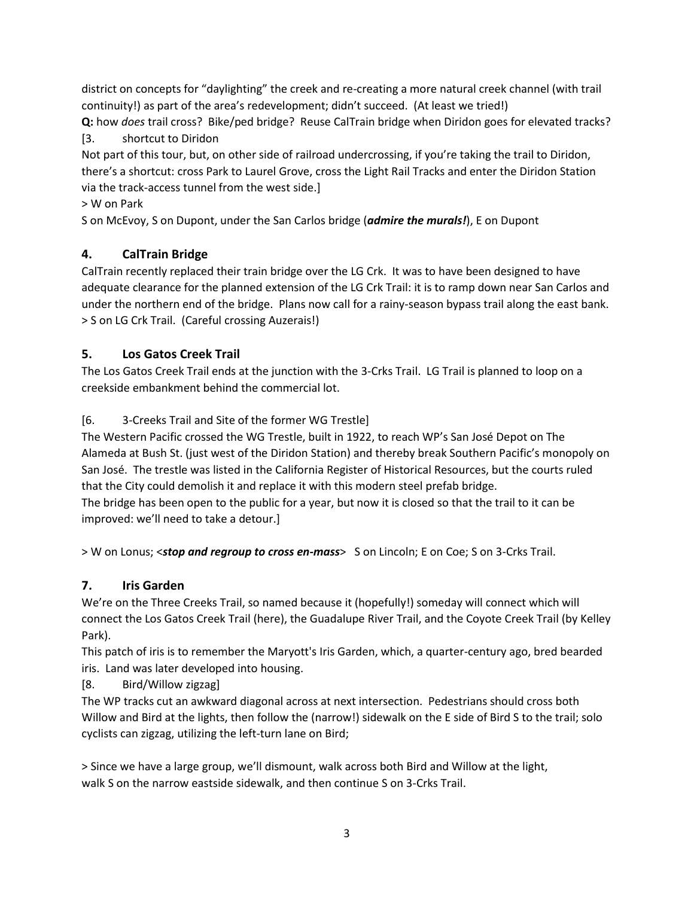district on concepts for "daylighting" the creek and re-creating a more natural creek channel (with trail continuity!) as part of the area's redevelopment; didn't succeed. (At least we tried!)

**Q:** how *does* trail cross? Bike/ped bridge? Reuse CalTrain bridge when Diridon goes for elevated tracks? [3. shortcut to Diridon

Not part of this tour, but, on other side of railroad undercrossing, if you're taking the trail to Diridon, there's a shortcut: cross Park to Laurel Grove, cross the Light Rail Tracks and enter the Diridon Station via the track-access tunnel from the west side.]

> W on Park

S on McEvoy, S on Dupont, under the San Carlos bridge (*admire the murals!*), E on Dupont

# **4. CalTrain Bridge**

CalTrain recently replaced their train bridge over the LG Crk. It was to have been designed to have adequate clearance for the planned extension of the LG Crk Trail: it is to ramp down near San Carlos and under the northern end of the bridge. Plans now call for a rainy-season bypass trail along the east bank. > S on LG Crk Trail. (Careful crossing Auzerais!)

# **5. Los Gatos Creek Trail**

The Los Gatos Creek Trail ends at the junction with the 3-Crks Trail. LG Trail is planned to loop on a creekside embankment behind the commercial lot.

# [6. 3-Creeks Trail and Site of the former WG Trestle]

The Western Pacific crossed the WG Trestle, built in 1922, to reach WP's San José Depot on The Alameda at Bush St. (just west of the Diridon Station) and thereby break Southern Pacific's monopoly on San José. The trestle was listed in the California Register of Historical Resources, but the courts ruled that the City could demolish it and replace it with this modern steel prefab bridge. The bridge has been open to the public for a year, but now it is closed so that the trail to it can be improved: we'll need to take a detour.]

> W on Lonus; <*stop and regroup to cross en-mass*> S on Lincoln; E on Coe; S on 3-Crks Trail.

# **7. Iris Garden**

We're on the Three Creeks Trail, so named because it (hopefully!) someday will connect which will connect the Los Gatos Creek Trail (here), the Guadalupe River Trail, and the Coyote Creek Trail (by Kelley Park).

This patch of iris is to remember the Maryott's Iris Garden, which, a quarter-century ago, bred bearded iris. Land was later developed into housing.

[8. Bird/Willow zigzag]

The WP tracks cut an awkward diagonal across at next intersection. Pedestrians should cross both Willow and Bird at the lights, then follow the (narrow!) sidewalk on the E side of Bird S to the trail; solo cyclists can zigzag, utilizing the left-turn lane on Bird;

> Since we have a large group, we'll dismount, walk across both Bird and Willow at the light, walk S on the narrow eastside sidewalk, and then continue S on 3-Crks Trail.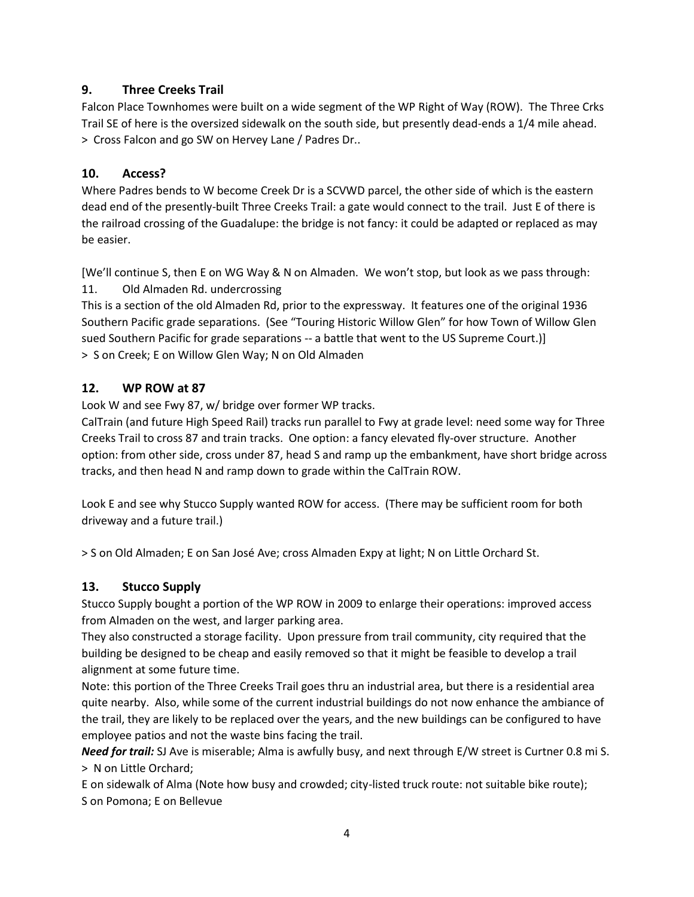# **9. Three Creeks Trail**

Falcon Place Townhomes were built on a wide segment of the WP Right of Way (ROW). The Three Crks Trail SE of here is the oversized sidewalk on the south side, but presently dead-ends a 1/4 mile ahead. > Cross Falcon and go SW on Hervey Lane / Padres Dr..

## **10. Access?**

Where Padres bends to W become Creek Dr is a SCVWD parcel, the other side of which is the eastern dead end of the presently-built Three Creeks Trail: a gate would connect to the trail. Just E of there is the railroad crossing of the Guadalupe: the bridge is not fancy: it could be adapted or replaced as may be easier.

[We'll continue S, then E on WG Way & N on Almaden. We won't stop, but look as we pass through:

11. Old Almaden Rd. undercrossing

This is a section of the old Almaden Rd, prior to the expressway. It features one of the original 1936 Southern Pacific grade separations. (See "Touring Historic Willow Glen" for how Town of Willow Glen sued Southern Pacific for grade separations -- a battle that went to the US Supreme Court.)] > S on Creek; E on Willow Glen Way; N on Old Almaden

#### **12. WP ROW at 87**

Look W and see Fwy 87, w/ bridge over former WP tracks.

CalTrain (and future High Speed Rail) tracks run parallel to Fwy at grade level: need some way for Three Creeks Trail to cross 87 and train tracks. One option: a fancy elevated fly-over structure. Another option: from other side, cross under 87, head S and ramp up the embankment, have short bridge across tracks, and then head N and ramp down to grade within the CalTrain ROW.

Look E and see why Stucco Supply wanted ROW for access. (There may be sufficient room for both driveway and a future trail.)

> S on Old Almaden; E on San José Ave; cross Almaden Expy at light; N on Little Orchard St.

#### **13. Stucco Supply**

Stucco Supply bought a portion of the WP ROW in 2009 to enlarge their operations: improved access from Almaden on the west, and larger parking area.

They also constructed a storage facility. Upon pressure from trail community, city required that the building be designed to be cheap and easily removed so that it might be feasible to develop a trail alignment at some future time.

Note: this portion of the Three Creeks Trail goes thru an industrial area, but there is a residential area quite nearby. Also, while some of the current industrial buildings do not now enhance the ambiance of the trail, they are likely to be replaced over the years, and the new buildings can be configured to have employee patios and not the waste bins facing the trail.

*Need for trail:* SJ Ave is miserable; Alma is awfully busy, and next through E/W street is Curtner 0.8 mi S. > N on Little Orchard;

E on sidewalk of Alma (Note how busy and crowded; city-listed truck route: not suitable bike route); S on Pomona; E on Bellevue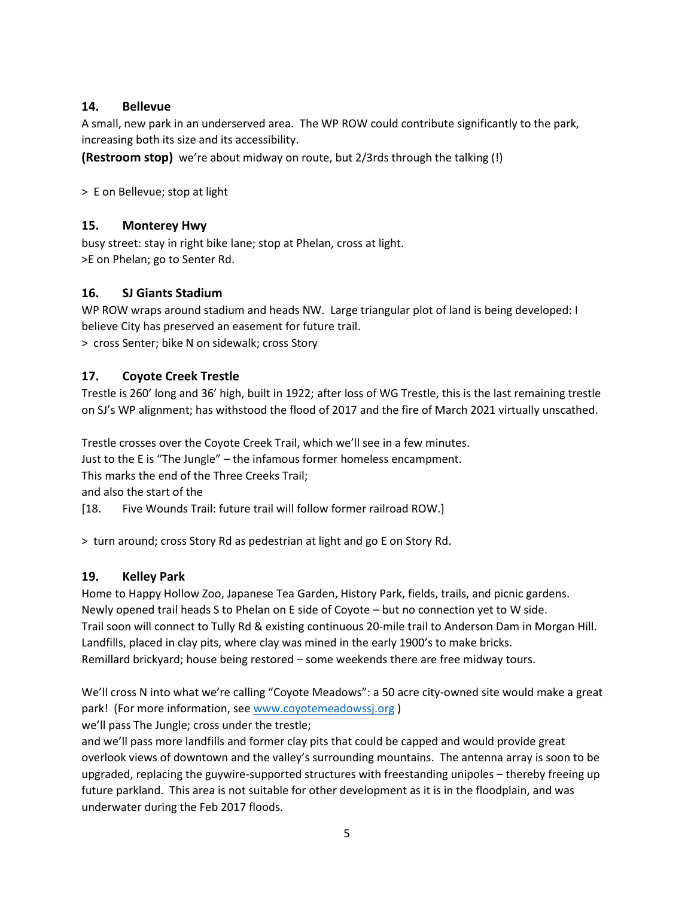# **14. Bellevue**

A small, new park in an underserved area. The WP ROW could contribute significantly to the park, increasing both its size and its accessibility.

**(Restroom stop)** we're about midway on route, but 2/3rds through the talking (!)

> E on Bellevue; stop at light

# **15. Monterey Hwy**

busy street: stay in right bike lane; stop at Phelan, cross at light. >E on Phelan; go to Senter Rd.

# **16. SJ Giants Stadium**

WP ROW wraps around stadium and heads NW. Large triangular plot of land is being developed: I believe City has preserved an easement for future trail.

> cross Senter; bike N on sidewalk; cross Story

# **17. Coyote Creek Trestle**

Trestle is 260' long and 36' high, built in 1922; after loss of WG Trestle, this is the last remaining trestle on SJ's WP alignment; has withstood the flood of 2017 and the fire of March 2021 virtually unscathed.

Trestle crosses over the Coyote Creek Trail, which we'll see in a few minutes.

Just to the E is "The Jungle" – the infamous former homeless encampment.

This marks the end of the Three Creeks Trail;

and also the start of the

[18. Five Wounds Trail: future trail will follow former railroad ROW.]

> turn around; cross Story Rd as pedestrian at light and go E on Story Rd.

# **19. Kelley Park**

Home to Happy Hollow Zoo, Japanese Tea Garden, History Park, fields, trails, and picnic gardens. Newly opened trail heads S to Phelan on E side of Coyote – but no connection yet to W side. Trail soon will connect to Tully Rd & existing continuous 20-mile trail to Anderson Dam in Morgan Hill. Landfills, placed in clay pits, where clay was mined in the early 1900's to make bricks. Remillard brickyard; house being restored – some weekends there are free midway tours.

We'll cross N into what we're calling "Coyote Meadows": a 50 acre city-owned site would make a great park! (For more information, se[e www.coyotemeadowssj.org](http://www.coyotemeadowssj.org/) )

we'll pass The Jungle; cross under the trestle;

and we'll pass more landfills and former clay pits that could be capped and would provide great overlook views of downtown and the valley's surrounding mountains. The antenna array is soon to be upgraded, replacing the guywire-supported structures with freestanding unipoles – thereby freeing up future parkland. This area is not suitable for other development as it is in the floodplain, and was underwater during the Feb 2017 floods.